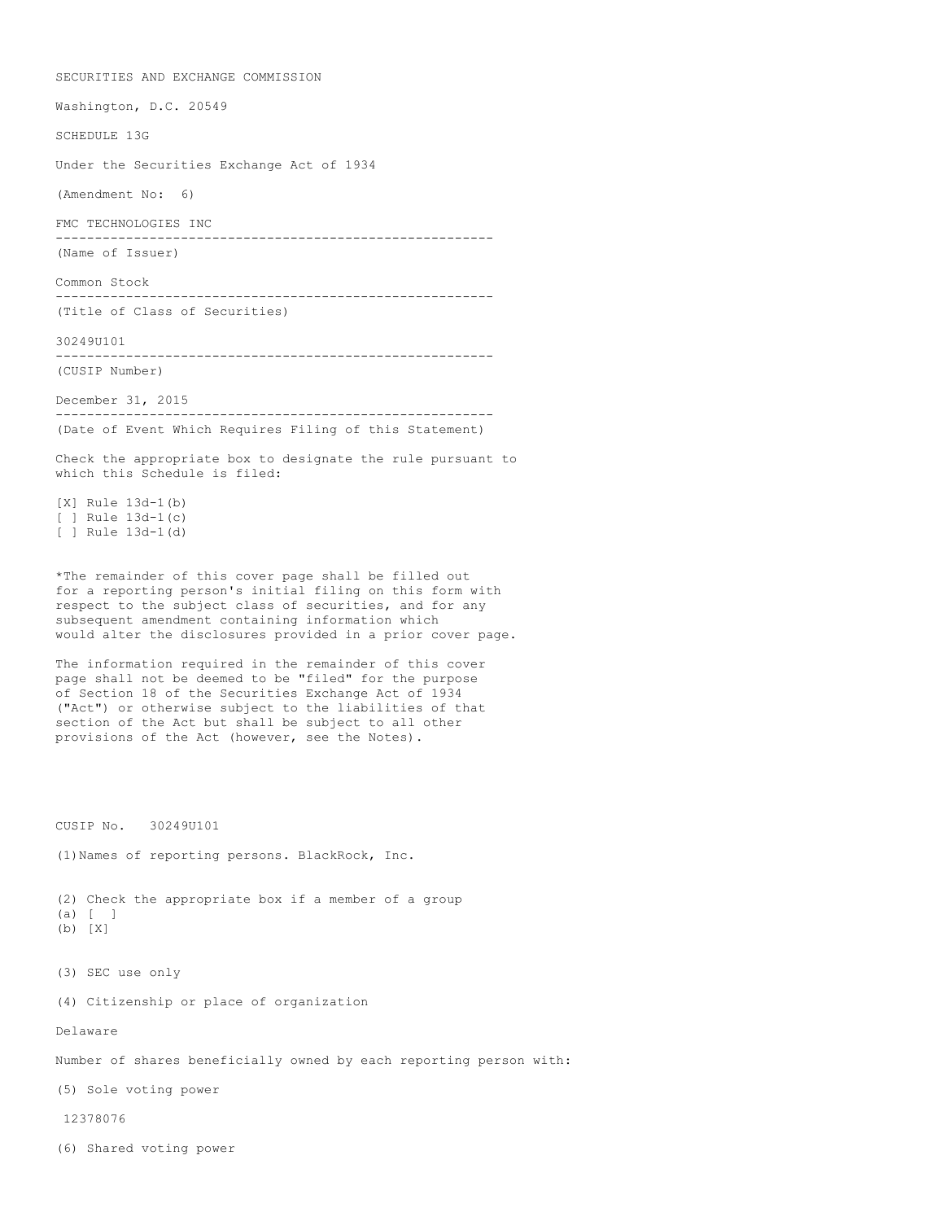SECURITIES AND EXCHANGE COMMISSION Washington, D.C. 20549 SCHEDULE 13G Under the Securities Exchange Act of 1934 (Amendment No: 6) FMC TECHNOLOGIES INC -------------------------------------------------------- (Name of Issuer) Common Stock -------------------------------------------------------- (Title of Class of Securities) 30249U101 -------------------------------------------------------- (CUSIP Number) December 31, 2015 -------------------------------------------------------- (Date of Event Which Requires Filing of this Statement) Check the appropriate box to designate the rule pursuant to which this Schedule is filed: [X] Rule 13d-1(b) [ ] Rule  $13d-1(c)$ [ ] Rule 13d-1(d) \*The remainder of this cover page shall be filled out for a reporting person's initial filing on this form with respect to the subject class of securities, and for any subsequent amendment containing information which would alter the disclosures provided in a prior cover page. The information required in the remainder of this cover page shall not be deemed to be "filed" for the purpose of Section 18 of the Securities Exchange Act of 1934 ("Act") or otherwise subject to the liabilities of that section of the Act but shall be subject to all other provisions of the Act (however, see the Notes). CUSIP No. 30249U101 (1)Names of reporting persons. BlackRock, Inc. (2) Check the appropriate box if a member of a group (a) [ ] (b) [X] (3) SEC use only (4) Citizenship or place of organization Delaware Number of shares beneficially owned by each reporting person with: (5) Sole voting power 12378076 (6) Shared voting power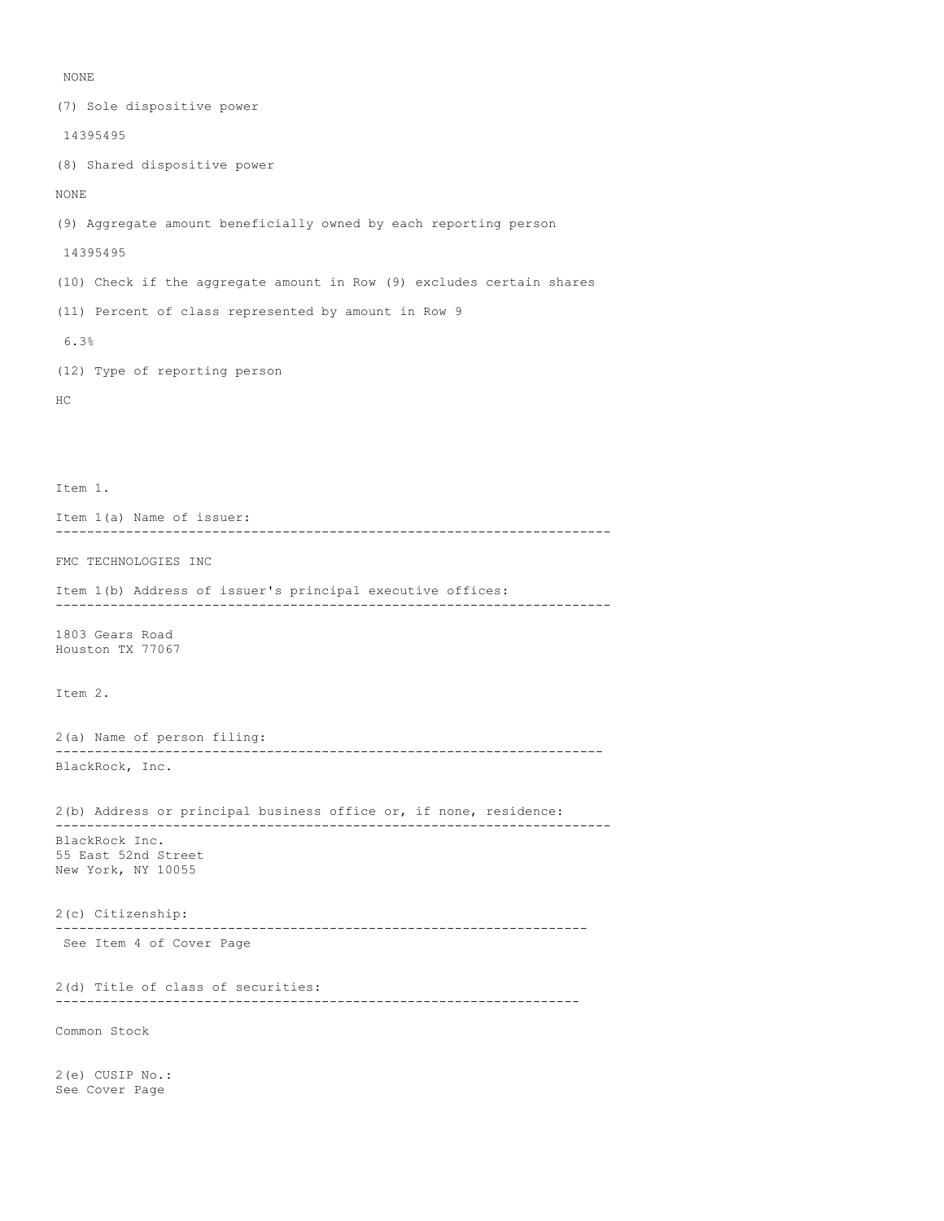### NONE

(7) Sole dispositive power 14395495 (8) Shared dispositive power NONE (9) Aggregate amount beneficially owned by each reporting person 14395495 (10) Check if the aggregate amount in Row (9) excludes certain shares (11) Percent of class represented by amount in Row 9 6.3% (12) Type of reporting person HC Item 1. Item 1(a) Name of issuer: ----------------------------------------------------------------------- FMC TECHNOLOGIES INC Item 1(b) Address of issuer's principal executive offices: ----------------------------------------------------------------------- 1803 Gears Road Houston TX 77067 Item 2. 2(a) Name of person filing: ---------------------------------------------------------------------- BlackRock, Inc. 2(b) Address or principal business office or, if none, residence: ----------------------------------------------------------------------- BlackRock Inc. 55 East 52nd Street New York, NY 10055 2(c) Citizenship: -------------------------------------------------------------------- See Item 4 of Cover Page 2(d) Title of class of securities: ------------------------------------------------------------------- Common Stock 2(e) CUSIP No.: See Cover Page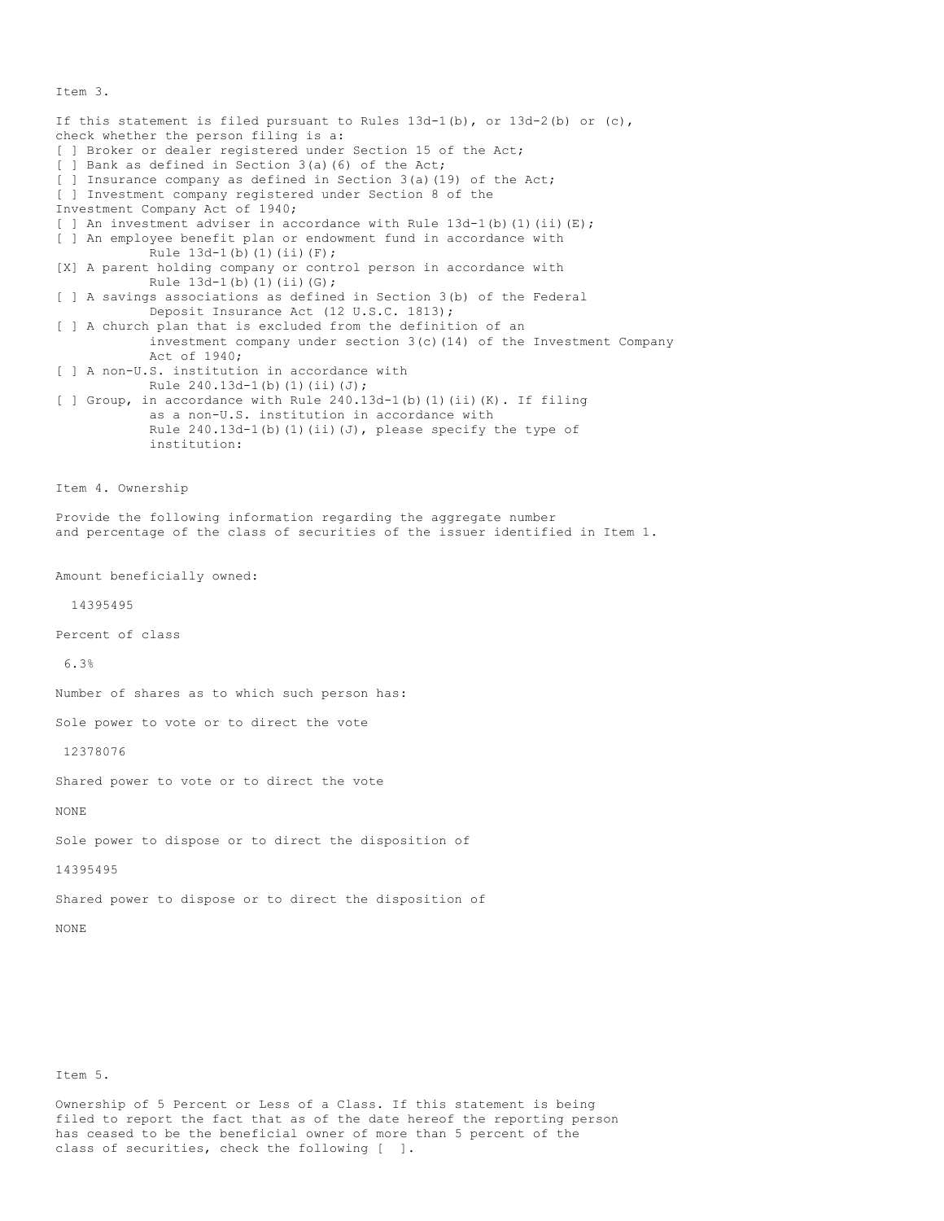Item 3.

If this statement is filed pursuant to Rules  $13d-1(b)$ , or  $13d-2(b)$  or  $(c)$ , check whether the person filing is a: [ ] Broker or dealer registered under Section 15 of the Act; [ ] Bank as defined in Section 3(a)(6) of the Act; [ ] Insurance company as defined in Section 3(a)(19) of the Act; [ ] Investment company registered under Section 8 of the Investment Company Act of 1940; [ ] An investment adviser in accordance with Rule  $13d-1$  (b) (1) (ii) (E); [ ] An employee benefit plan or endowment fund in accordance with Rule  $13d-1(b)(1)(ii)(F);$ [X] A parent holding company or control person in accordance with Rule  $13d-1(b)(1)(ii)(G);$ [ ] A savings associations as defined in Section 3(b) of the Federal Deposit Insurance Act (12 U.S.C. 1813); [ ] A church plan that is excluded from the definition of an investment company under section 3(c)(14) of the Investment Company Act of 1940; [ ] A non-U.S. institution in accordance with Rule 240.13d-1(b)(1)(ii)(J); [ ] Group, in accordance with Rule 240.13d-1(b)(1)(ii)(K). If filing as a non-U.S. institution in accordance with Rule  $240.13d-1$ (b)(1)(ii)(J), please specify the type of institution: Item 4. Ownership Provide the following information regarding the aggregate number and percentage of the class of securities of the issuer identified in Item 1. Amount beneficially owned: 14395495 Percent of class 6.3% Number of shares as to which such person has: Sole power to vote or to direct the vote 12378076 Shared power to vote or to direct the vote NONE Sole power to dispose or to direct the disposition of 14395495 Shared power to dispose or to direct the disposition of NONE

Item 5.

Ownership of 5 Percent or Less of a Class. If this statement is being filed to report the fact that as of the date hereof the reporting person has ceased to be the beneficial owner of more than 5 percent of the class of securities, check the following [ ].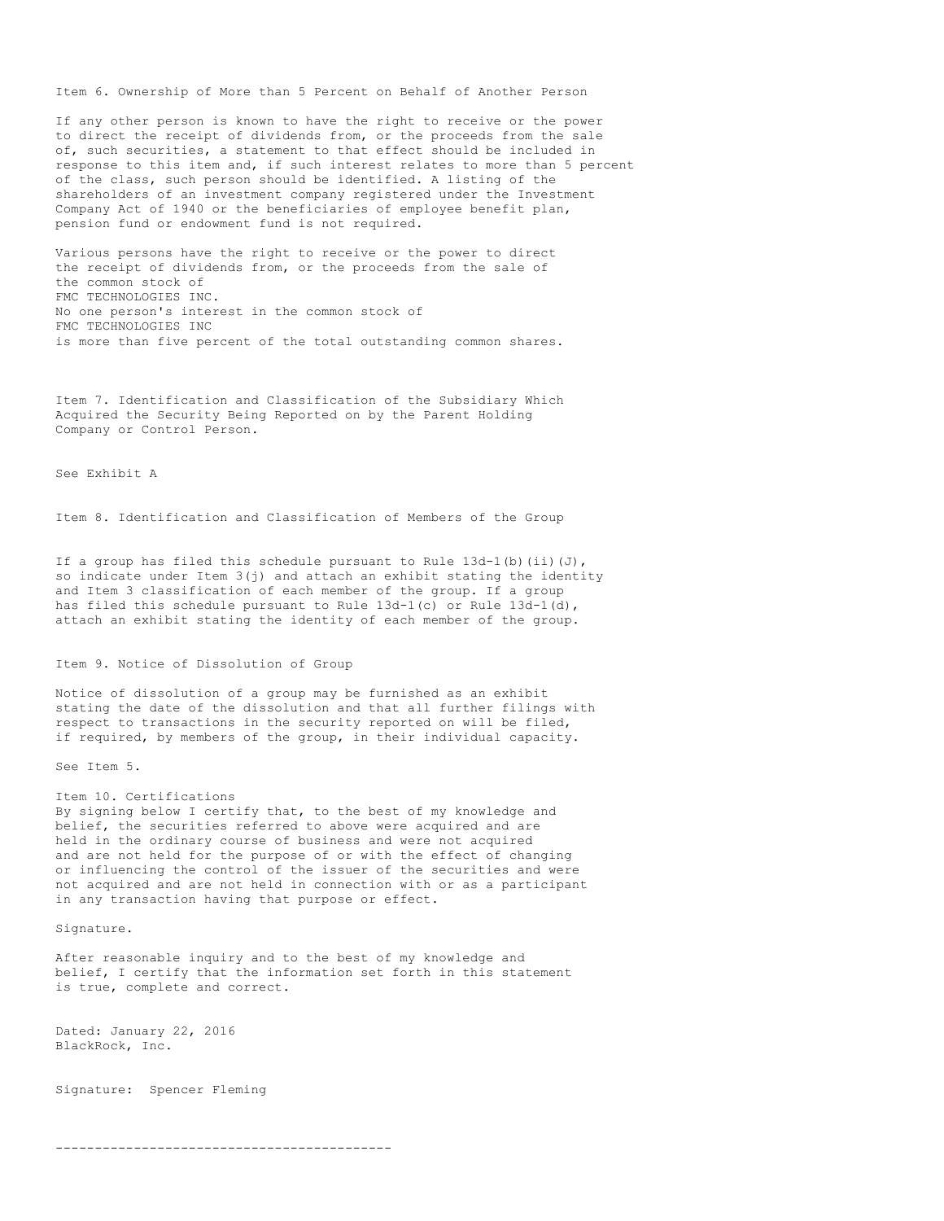Item 6. Ownership of More than 5 Percent on Behalf of Another Person

If any other person is known to have the right to receive or the power to direct the receipt of dividends from, or the proceeds from the sale of, such securities, a statement to that effect should be included in response to this item and, if such interest relates to more than 5 percent of the class, such person should be identified. A listing of the shareholders of an investment company registered under the Investment Company Act of 1940 or the beneficiaries of employee benefit plan, pension fund or endowment fund is not required.

Various persons have the right to receive or the power to direct the receipt of dividends from, or the proceeds from the sale of the common stock of FMC TECHNOLOGIES INC. No one person's interest in the common stock of FMC TECHNOLOGIES INC is more than five percent of the total outstanding common shares.

Item 7. Identification and Classification of the Subsidiary Which Acquired the Security Being Reported on by the Parent Holding Company or Control Person.

See Exhibit A

Item 8. Identification and Classification of Members of the Group

If a group has filed this schedule pursuant to Rule  $13d-1$  (b) (ii)(J), so indicate under Item 3(j) and attach an exhibit stating the identity and Item 3 classification of each member of the group. If a group has filed this schedule pursuant to Rule 13d-1(c) or Rule 13d-1(d), attach an exhibit stating the identity of each member of the group.

Item 9. Notice of Dissolution of Group

Notice of dissolution of a group may be furnished as an exhibit stating the date of the dissolution and that all further filings with respect to transactions in the security reported on will be filed, if required, by members of the group, in their individual capacity.

See Item 5.

## Item 10. Certifications By signing below I certify that, to the best of my knowledge and belief, the securities referred to above were acquired and are held in the ordinary course of business and were not acquired and are not held for the purpose of or with the effect of changing or influencing the control of the issuer of the securities and were not acquired and are not held in connection with or as a participant in any transaction having that purpose or effect.

Signature.

After reasonable inquiry and to the best of my knowledge and belief, I certify that the information set forth in this statement is true, complete and correct.

Dated: January 22, 2016 BlackRock, Inc.

Signature: Spencer Fleming

-------------------------------------------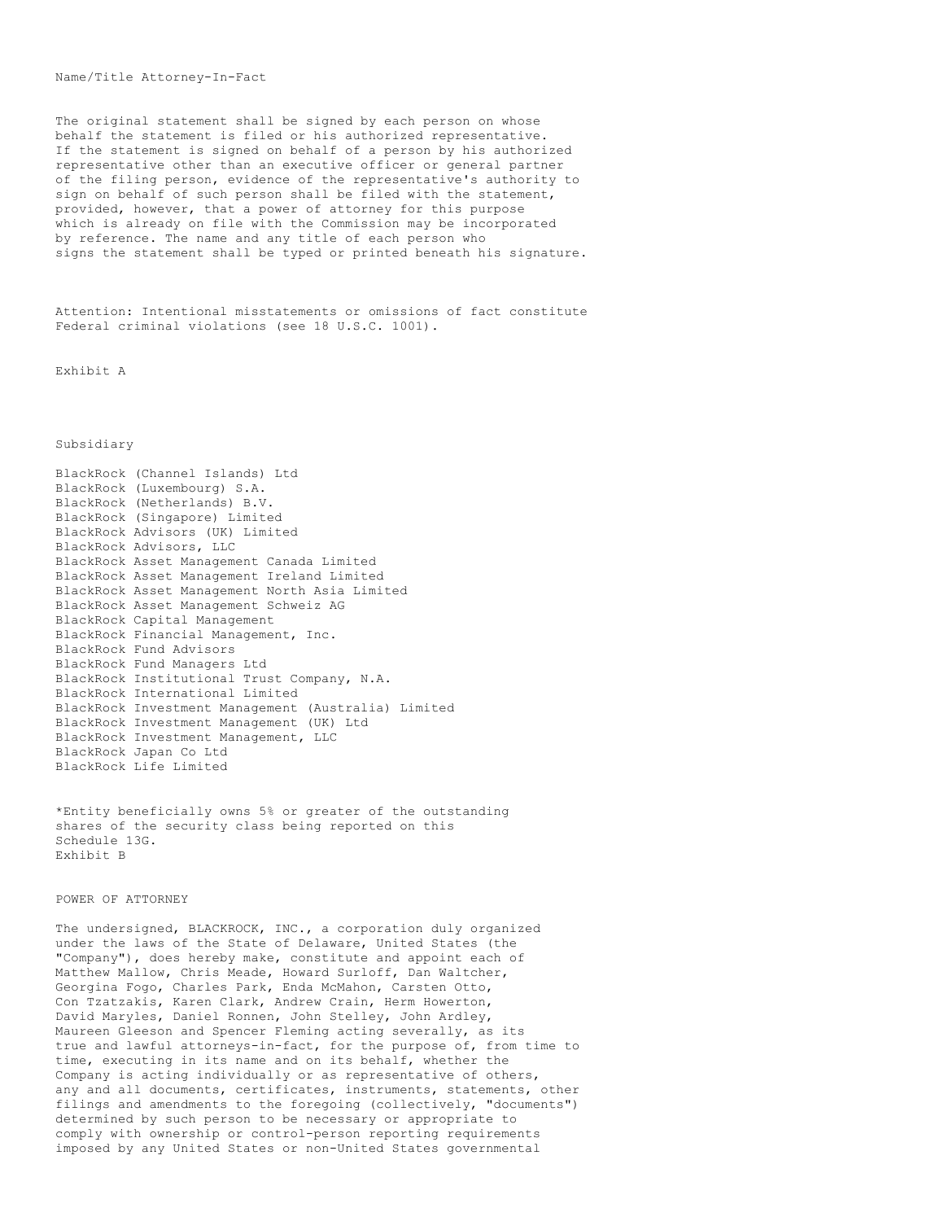## Name/Title Attorney-In-Fact

The original statement shall be signed by each person on whose behalf the statement is filed or his authorized representative. If the statement is signed on behalf of a person by his authorized representative other than an executive officer or general partner of the filing person, evidence of the representative's authority to sign on behalf of such person shall be filed with the statement, provided, however, that a power of attorney for this purpose which is already on file with the Commission may be incorporated by reference. The name and any title of each person who signs the statement shall be typed or printed beneath his signature.

Attention: Intentional misstatements or omissions of fact constitute Federal criminal violations (see 18 U.S.C. 1001).

Exhibit A

# Subsidiary

BlackRock (Channel Islands) Ltd BlackRock (Luxembourg) S.A. BlackRock (Netherlands) B.V. BlackRock (Singapore) Limited BlackRock Advisors (UK) Limited BlackRock Advisors, LLC BlackRock Asset Management Canada Limited BlackRock Asset Management Ireland Limited BlackRock Asset Management North Asia Limited BlackRock Asset Management Schweiz AG BlackRock Capital Management BlackRock Financial Management, Inc. BlackRock Fund Advisors BlackRock Fund Managers Ltd BlackRock Institutional Trust Company, N.A. BlackRock International Limited BlackRock Investment Management (Australia) Limited BlackRock Investment Management (UK) Ltd BlackRock Investment Management, LLC BlackRock Japan Co Ltd BlackRock Life Limited

\*Entity beneficially owns 5% or greater of the outstanding shares of the security class being reported on this Schedule 13G. Exhibit B

#### POWER OF ATTORNEY

The undersigned, BLACKROCK, INC., a corporation duly organized under the laws of the State of Delaware, United States (the "Company"), does hereby make, constitute and appoint each of Matthew Mallow, Chris Meade, Howard Surloff, Dan Waltcher, Georgina Fogo, Charles Park, Enda McMahon, Carsten Otto, Con Tzatzakis, Karen Clark, Andrew Crain, Herm Howerton, David Maryles, Daniel Ronnen, John Stelley, John Ardley, Maureen Gleeson and Spencer Fleming acting severally, as its true and lawful attorneys-in-fact, for the purpose of, from time to time, executing in its name and on its behalf, whether the Company is acting individually or as representative of others, any and all documents, certificates, instruments, statements, other filings and amendments to the foregoing (collectively, "documents") determined by such person to be necessary or appropriate to comply with ownership or control-person reporting requirements imposed by any United States or non-United States governmental